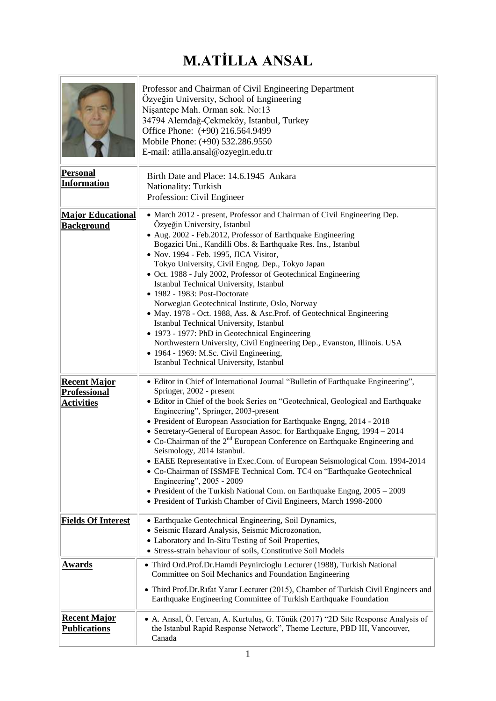## **M.ATİLLA ANSAL**

| <b>Personal</b><br><b>Information</b>                           | Professor and Chairman of Civil Engineering Department<br>Özyeğin University, School of Engineering<br>Nişantepe Mah. Orman sok. No:13<br>34794 Alemdağ-Çekmeköy, Istanbul, Turkey<br>Office Phone: (+90) 216.564.9499<br>Mobile Phone: (+90) 532.286.9550<br>E-mail: atilla.ansal@ozyegin.edu.tr<br>Birth Date and Place: 14.6.1945 Ankara<br>Nationality: Turkish<br>Profession: Civil Engineer                                                                                                                                                                                                                                                                                                                                                                                                                                                                               |
|-----------------------------------------------------------------|---------------------------------------------------------------------------------------------------------------------------------------------------------------------------------------------------------------------------------------------------------------------------------------------------------------------------------------------------------------------------------------------------------------------------------------------------------------------------------------------------------------------------------------------------------------------------------------------------------------------------------------------------------------------------------------------------------------------------------------------------------------------------------------------------------------------------------------------------------------------------------|
| <b>Major Educational</b><br><b>Background</b>                   | • March 2012 - present, Professor and Chairman of Civil Engineering Dep.<br>Özyeğin University, Istanbul<br>• Aug. 2002 - Feb.2012, Professor of Earthquake Engineering<br>Bogazici Uni., Kandilli Obs. & Earthquake Res. Ins., Istanbul<br>• Nov. 1994 - Feb. 1995, JICA Visitor,<br>Tokyo University, Civil Engng. Dep., Tokyo Japan<br>• Oct. 1988 - July 2002, Professor of Geotechnical Engineering<br>Istanbul Technical University, Istanbul<br>• 1982 - 1983: Post-Doctorate<br>Norwegian Geotechnical Institute, Oslo, Norway<br>• May. 1978 - Oct. 1988, Ass. & Asc. Prof. of Geotechnical Engineering<br>Istanbul Technical University, Istanbul<br>• 1973 - 1977: PhD in Geotechnical Engineering<br>Northwestern University, Civil Engineering Dep., Evanston, Illinois. USA<br>• 1964 - 1969: M.Sc. Civil Engineering,<br>Istanbul Technical University, Istanbul |
| <b>Recent Major</b><br><b>Professional</b><br><b>Activities</b> | • Editor in Chief of International Journal "Bulletin of Earthquake Engineering",<br>Springer, 2002 - present<br>· Editor in Chief of the book Series on "Geotechnical, Geological and Earthquake<br>Engineering", Springer, 2003-present<br>• President of European Association for Earthquake Engng, 2014 - 2018<br>• Secretary-General of European Assoc. for Earthquake Engng, 1994 - 2014<br>• Co-Chairman of the $2nd$ European Conference on Earthquake Engineering and<br>Seismology, 2014 Istanbul.<br>• EAEE Representative in Exec.Com. of European Seismological Com. 1994-2014<br>• Co-Chairman of ISSMFE Technical Com. TC4 on "Earthquake Geotechnical<br>Engineering", 2005 - 2009<br>• President of the Turkish National Com. on Earthquake Engng, 2005 - 2009<br>• President of Turkish Chamber of Civil Engineers, March 1998-2000                            |
| <b>Fields Of Interest</b>                                       | • Earthquake Geotechnical Engineering, Soil Dynamics,<br>· Seismic Hazard Analysis, Seismic Microzonation,<br>• Laboratory and In-Situ Testing of Soil Properties,<br>• Stress-strain behaviour of soils, Constitutive Soil Models                                                                                                                                                                                                                                                                                                                                                                                                                                                                                                                                                                                                                                              |
| <u>Awards</u>                                                   | · Third Ord.Prof.Dr.Hamdi Peynircioglu Lecturer (1988), Turkish National<br>Committee on Soil Mechanics and Foundation Engineering<br>• Third Prof.Dr.Rıfat Yarar Lecturer (2015), Chamber of Turkish Civil Engineers and<br>Earthquake Engineering Committee of Turkish Earthquake Foundation                                                                                                                                                                                                                                                                                                                                                                                                                                                                                                                                                                                  |
| <b>Recent Major</b><br><b>Publications</b>                      | • A. Ansal, Ö. Fercan, A. Kurtuluş, G. Tönük (2017) "2D Site Response Analysis of<br>the Istanbul Rapid Response Network", Theme Lecture, PBD III, Vancouver,<br>Canada                                                                                                                                                                                                                                                                                                                                                                                                                                                                                                                                                                                                                                                                                                         |